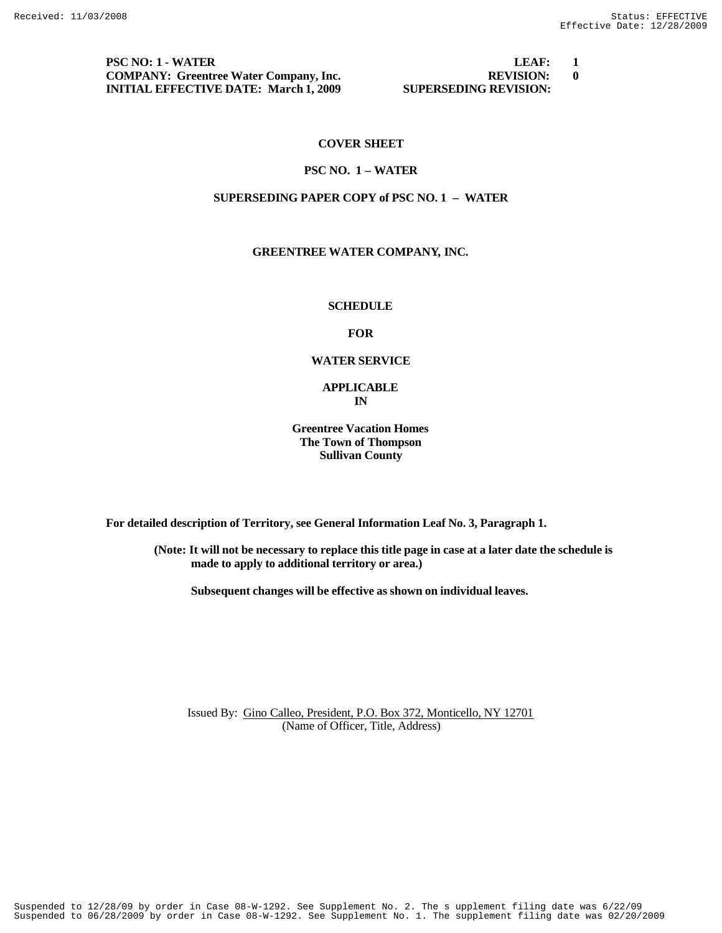**PSC NO: 1 - WATER LEAF: 1 COMPANY: Greentree Water Company, Inc. REVISION: 0 INITIAL EFFECTIVE DATE: March 1, 2009 SUPERSEDING REVISION:** 

# **COVER SHEET**

#### **PSC NO. 1 – WATER**

# **SUPERSEDING PAPER COPY of PSC NO. 1 – WATER**

# **GREENTREE WATER COMPANY, INC.**

# **SCHEDULE**

## **FOR**

#### **WATER SERVICE**

## **APPLICABLE IN**

**Greentree Vacation Homes The Town of Thompson Sullivan County**

**For detailed description of Territory, see General Information Leaf No. 3, Paragraph 1.**

**(Note: It will not be necessary to replace this title page in case at a later date the schedule is made to apply to additional territory or area.)**

**Subsequent changes will be effective as shown on individual leaves.**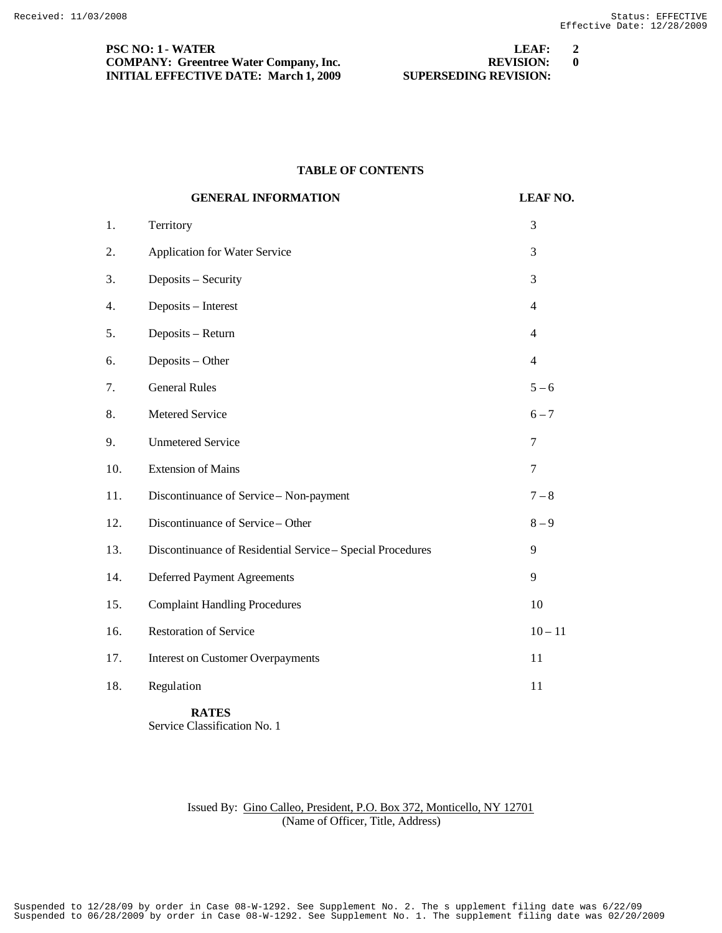**PSC NO: 1 - WATER LEAF: 2 COMPANY: Greentree Water Company, Inc. REVISION: 0 INITIAL EFFECTIVE DATE: March 1, 2009 SUPERSEDING REVISION:** 

#### **TABLE OF CONTENTS**

|     | <b>GENERAL INFORMATION</b>                                 | <b>LEAF NO.</b> |
|-----|------------------------------------------------------------|-----------------|
| 1.  | Territory                                                  | 3               |
| 2.  | Application for Water Service                              | 3               |
| 3.  | Deposits - Security                                        | 3               |
| 4.  | Deposits - Interest                                        | $\overline{4}$  |
| 5.  | Deposits - Return                                          | 4               |
| 6.  | Deposits - Other                                           | 4               |
| 7.  | <b>General Rules</b>                                       | $5 - 6$         |
| 8.  | Metered Service                                            | $6 - 7$         |
| 9.  | <b>Unmetered Service</b>                                   | 7               |
| 10. | <b>Extension of Mains</b>                                  | 7               |
| 11. | Discontinuance of Service - Non-payment                    | $7 - 8$         |
| 12. | Discontinuance of Service - Other                          | $8-9$           |
| 13. | Discontinuance of Residential Service - Special Procedures | 9               |
| 14. | <b>Deferred Payment Agreements</b>                         | 9               |
| 15. | <b>Complaint Handling Procedures</b>                       | 10              |
| 16. | <b>Restoration of Service</b>                              | $10 - 11$       |
| 17. | <b>Interest on Customer Overpayments</b>                   | 11              |
| 18. | Regulation                                                 | 11              |

 **RATES** Service Classification No. 1

# Issued By: Gino Calleo, President, P.O. Box 372, Monticello, NY 12701 (Name of Officer, Title, Address)

Suspended to 06/28/2009 by order in Case 08-W-1292. See Supplement No. 1. The supplement filing date was 02/20/2009 Suspended to 12/28/09 by order in Case 08-W-1292. See Supplement No. 2. The s upplement filing date was 6/22/09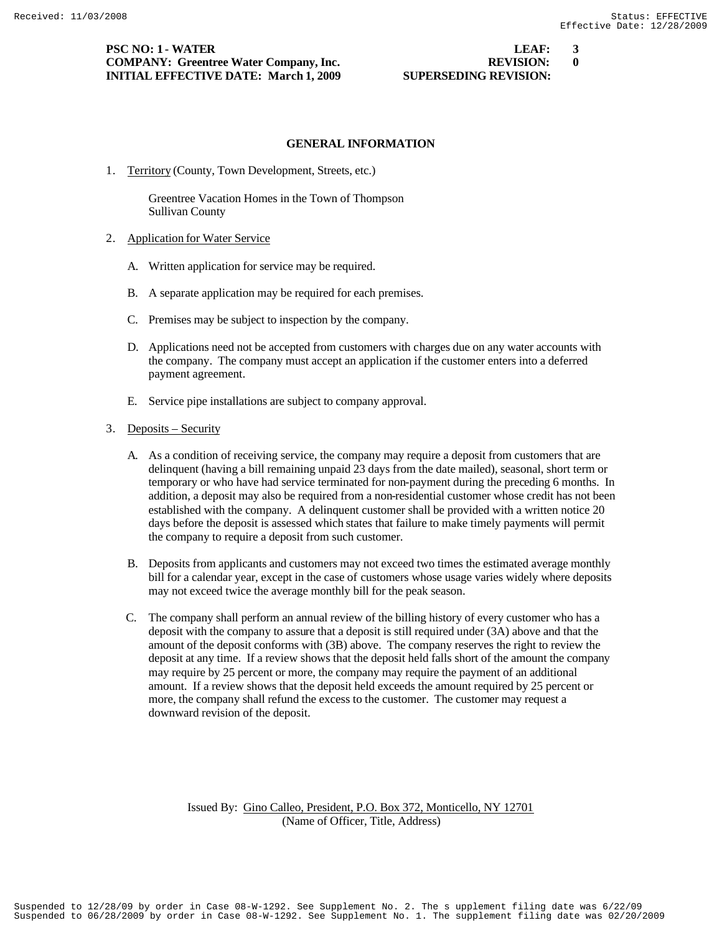# **PSC NO: 1 - WATER LEAF: 3 COMPANY: Greentree Water Company, Inc. REVISION: 0 INITIAL EFFECTIVE DATE: March 1, 2009 SUPERSEDING REVISION:**

#### **GENERAL INFORMATION**

1. Territory (County, Town Development, Streets, etc.)

 Greentree Vacation Homes in the Town of Thompson Sullivan County

- 2. Application for Water Service
	- A. Written application for service may be required.
	- B. A separate application may be required for each premises.
	- C. Premises may be subject to inspection by the company.
	- D. Applications need not be accepted from customers with charges due on any water accounts with the company. The company must accept an application if the customer enters into a deferred payment agreement.
	- E. Service pipe installations are subject to company approval.

#### 3. Deposits – Security

- A. As a condition of receiving service, the company may require a deposit from customers that are delinquent (having a bill remaining unpaid 23 days from the date mailed), seasonal, short term or temporary or who have had service terminated for non-payment during the preceding 6 months. In addition, a deposit may also be required from a non-residential customer whose credit has not been established with the company. A delinquent customer shall be provided with a written notice 20 days before the deposit is assessed which states that failure to make timely payments will permit the company to require a deposit from such customer.
- B. Deposits from applicants and customers may not exceed two times the estimated average monthly bill for a calendar year, except in the case of customers whose usage varies widely where deposits may not exceed twice the average monthly bill for the peak season.
- C. The company shall perform an annual review of the billing history of every customer who has a deposit with the company to assure that a deposit is still required under (3A) above and that the amount of the deposit conforms with (3B) above. The company reserves the right to review the deposit at any time. If a review shows that the deposit held falls short of the amount the company may require by 25 percent or more, the company may require the payment of an additional amount. If a review shows that the deposit held exceeds the amount required by 25 percent or more, the company shall refund the excess to the customer. The customer may request a downward revision of the deposit.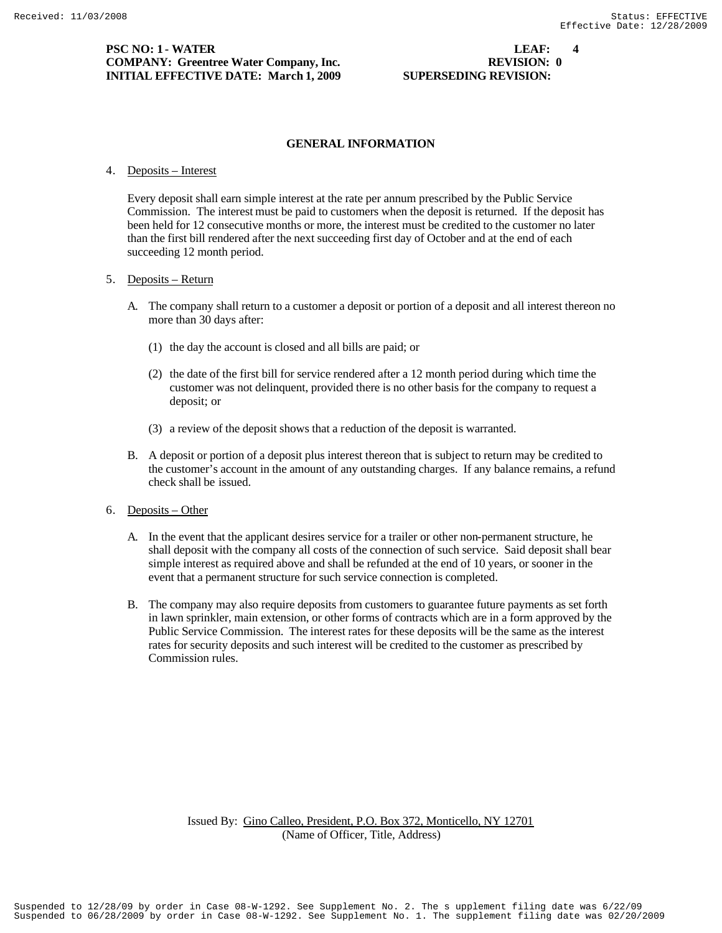## **PSC NO: 1 - WATER LEAF:** 4 **COMPANY: Greentree Water Company, Inc. REVISION: 0**<br> **DITTAL EFFECTIVE DATE: March 1, 2009 SUPERSEDING REVISION: INITIAL EFFECTIVE DATE: March 1, 2009**

# **GENERAL INFORMATION**

#### 4. Deposits – Interest

Every deposit shall earn simple interest at the rate per annum prescribed by the Public Service Commission. The interest must be paid to customers when the deposit is returned. If the deposit has been held for 12 consecutive months or more, the interest must be credited to the customer no later than the first bill rendered after the next succeeding first day of October and at the end of each succeeding 12 month period.

## 5. Deposits – Return

- A. The company shall return to a customer a deposit or portion of a deposit and all interest thereon no more than 30 days after:
	- (1) the day the account is closed and all bills are paid; or
	- (2) the date of the first bill for service rendered after a 12 month period during which time the customer was not delinquent, provided there is no other basis for the company to request a deposit; or
	- (3) a review of the deposit shows that a reduction of the deposit is warranted.
- B. A deposit or portion of a deposit plus interest thereon that is subject to return may be credited to the customer's account in the amount of any outstanding charges. If any balance remains, a refund check shall be issued.

## 6. Deposits – Other

- A. In the event that the applicant desires service for a trailer or other non-permanent structure, he shall deposit with the company all costs of the connection of such service. Said deposit shall bear simple interest as required above and shall be refunded at the end of 10 years, or sooner in the event that a permanent structure for such service connection is completed.
- B. The company may also require deposits from customers to guarantee future payments as set forth in lawn sprinkler, main extension, or other forms of contracts which are in a form approved by the Public Service Commission. The interest rates for these deposits will be the same as the interest rates for security deposits and such interest will be credited to the customer as prescribed by Commission rules.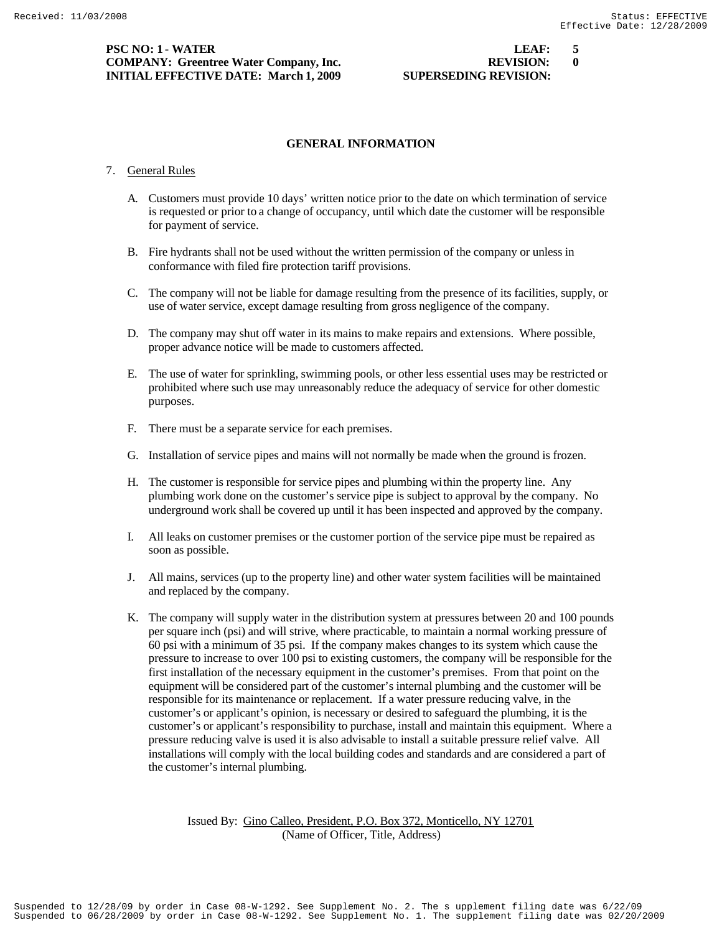**PSC NO: 1 - WATER LEAF: 5 COMPANY: Greentree Water Company, Inc. REVISION: 0 INITIAL EFFECTIVE DATE: March 1, 2009 SUPERSEDING REVISION:** 

# **GENERAL INFORMATION**

#### 7. General Rules

- A. Customers must provide 10 days' written notice prior to the date on which termination of service is requested or prior to a change of occupancy, until which date the customer will be responsible for payment of service.
- B. Fire hydrants shall not be used without the written permission of the company or unless in conformance with filed fire protection tariff provisions.
- C. The company will not be liable for damage resulting from the presence of its facilities, supply, or use of water service, except damage resulting from gross negligence of the company.
- D. The company may shut off water in its mains to make repairs and extensions. Where possible, proper advance notice will be made to customers affected.
- E. The use of water for sprinkling, swimming pools, or other less essential uses may be restricted or prohibited where such use may unreasonably reduce the adequacy of service for other domestic purposes.
- F. There must be a separate service for each premises.
- G. Installation of service pipes and mains will not normally be made when the ground is frozen.
- H. The customer is responsible for service pipes and plumbing within the property line. Any plumbing work done on the customer's service pipe is subject to approval by the company. No underground work shall be covered up until it has been inspected and approved by the company.
- I. All leaks on customer premises or the customer portion of the service pipe must be repaired as soon as possible.
- J. All mains, services (up to the property line) and other water system facilities will be maintained and replaced by the company.
- K. The company will supply water in the distribution system at pressures between 20 and 100 pounds per square inch (psi) and will strive, where practicable, to maintain a normal working pressure of 60 psi with a minimum of 35 psi. If the company makes changes to its system which cause the pressure to increase to over 100 psi to existing customers, the company will be responsible for the first installation of the necessary equipment in the customer's premises. From that point on the equipment will be considered part of the customer's internal plumbing and the customer will be responsible for its maintenance or replacement. If a water pressure reducing valve, in the customer's or applicant's opinion, is necessary or desired to safeguard the plumbing, it is the customer's or applicant's responsibility to purchase, install and maintain this equipment. Where a pressure reducing valve is used it is also advisable to install a suitable pressure relief valve. All installations will comply with the local building codes and standards and are considered a part of the customer's internal plumbing.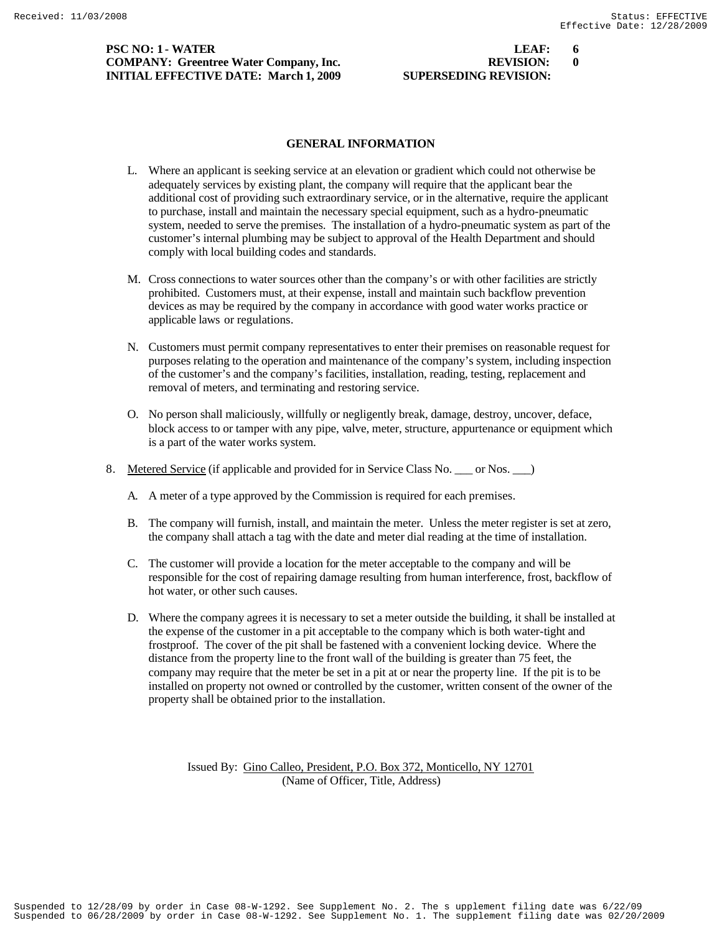# **PSC NO: 1 - WATER LEAF: 6 LEAF: 6 COMPANY: Greentree Water Company, Inc.** REVISION: 0 **INITIAL EFFECTIVE DATE: March 1, 2009 SUPERSEDING REVISION:**

# **GENERAL INFORMATION**

- L. Where an applicant is seeking service at an elevation or gradient which could not otherwise be adequately services by existing plant, the company will require that the applicant bear the additional cost of providing such extraordinary service, or in the alternative, require the applicant to purchase, install and maintain the necessary special equipment, such as a hydro-pneumatic system, needed to serve the premises. The installation of a hydro-pneumatic system as part of the customer's internal plumbing may be subject to approval of the Health Department and should comply with local building codes and standards.
- M. Cross connections to water sources other than the company's or with other facilities are strictly prohibited. Customers must, at their expense, install and maintain such backflow prevention devices as may be required by the company in accordance with good water works practice or applicable laws or regulations.
- N. Customers must permit company representatives to enter their premises on reasonable request for purposes relating to the operation and maintenance of the company's system, including inspection of the customer's and the company's facilities, installation, reading, testing, replacement and removal of meters, and terminating and restoring service.
- O. No person shall maliciously, willfully or negligently break, damage, destroy, uncover, deface, block access to or tamper with any pipe, valve, meter, structure, appurtenance or equipment which is a part of the water works system.
- 8. Metered Service (if applicable and provided for in Service Class No. \_\_\_ or Nos. \_\_\_ )
	- A. A meter of a type approved by the Commission is required for each premises.
	- B. The company will furnish, install, and maintain the meter. Unless the meter register is set at zero, the company shall attach a tag with the date and meter dial reading at the time of installation.
	- C. The customer will provide a location for the meter acceptable to the company and will be responsible for the cost of repairing damage resulting from human interference, frost, backflow of hot water, or other such causes.
	- D. Where the company agrees it is necessary to set a meter outside the building, it shall be installed at the expense of the customer in a pit acceptable to the company which is both water-tight and frostproof. The cover of the pit shall be fastened with a convenient locking device. Where the distance from the property line to the front wall of the building is greater than 75 feet, the company may require that the meter be set in a pit at or near the property line. If the pit is to be installed on property not owned or controlled by the customer, written consent of the owner of the property shall be obtained prior to the installation.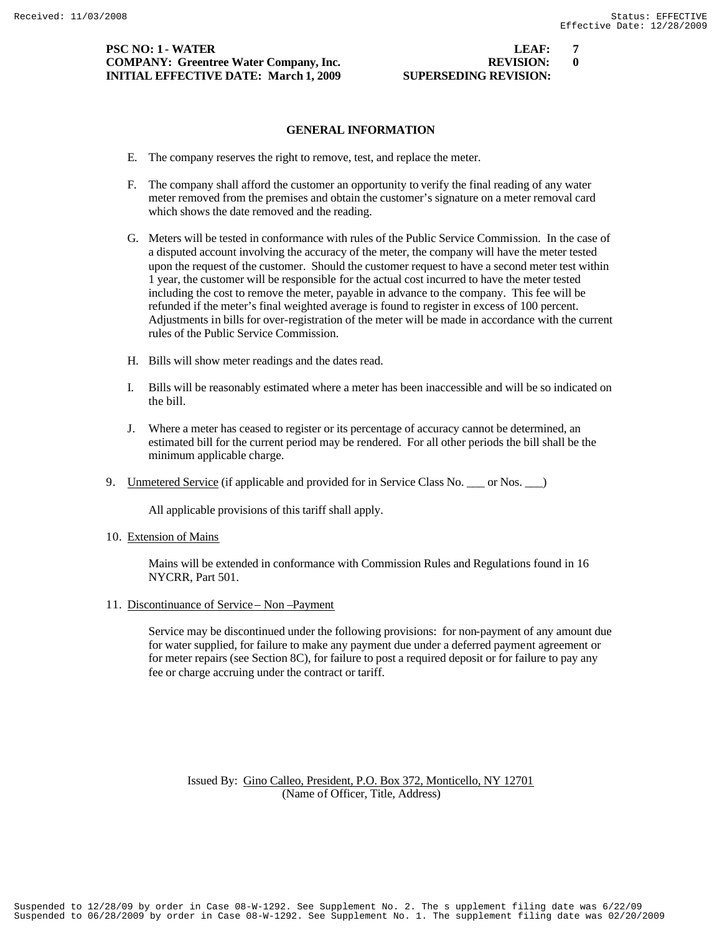# **PSC NO: 1 - WATER LEAF: 7 COMPANY: Greentree Water Company, Inc. REVISION: 0 INITIAL EFFECTIVE DATE: March 1, 2009 SUPERSEDING REVISION:**

# **GENERAL INFORMATION**

- E. The company reserves the right to remove, test, and replace the meter.
- F. The company shall afford the customer an opportunity to verify the final reading of any water meter removed from the premises and obtain the customer's signature on a meter removal card which shows the date removed and the reading.
- G. Meters will be tested in conformance with rules of the Public Service Commission. In the case of a disputed account involving the accuracy of the meter, the company will have the meter tested upon the request of the customer. Should the customer request to have a second meter test within 1 year, the customer will be responsible for the actual cost incurred to have the meter tested including the cost to remove the meter, payable in advance to the company. This fee will be refunded if the meter's final weighted average is found to register in excess of 100 percent. Adjustments in bills for over-registration of the meter will be made in accordance with the current rules of the Public Service Commission.
- H. Bills will show meter readings and the dates read.
- I. Bills will be reasonably estimated where a meter has been inaccessible and will be so indicated on the bill.
- J. Where a meter has ceased to register or its percentage of accuracy cannot be determined, an estimated bill for the current period may be rendered. For all other periods the bill shall be the minimum applicable charge.
- 9. Unmetered Service (if applicable and provided for in Service Class No. \_\_\_ or Nos. \_\_\_)

All applicable provisions of this tariff shall apply.

10. Extension of Mains

 Mains will be extended in conformance with Commission Rules and Regulations found in 16 NYCRR, Part 501.

11. Discontinuance of Service – Non –Payment

 Service may be discontinued under the following provisions: for non-payment of any amount due for water supplied, for failure to make any payment due under a deferred payment agreement or for meter repairs (see Section 8C), for failure to post a required deposit or for failure to pay any fee or charge accruing under the contract or tariff.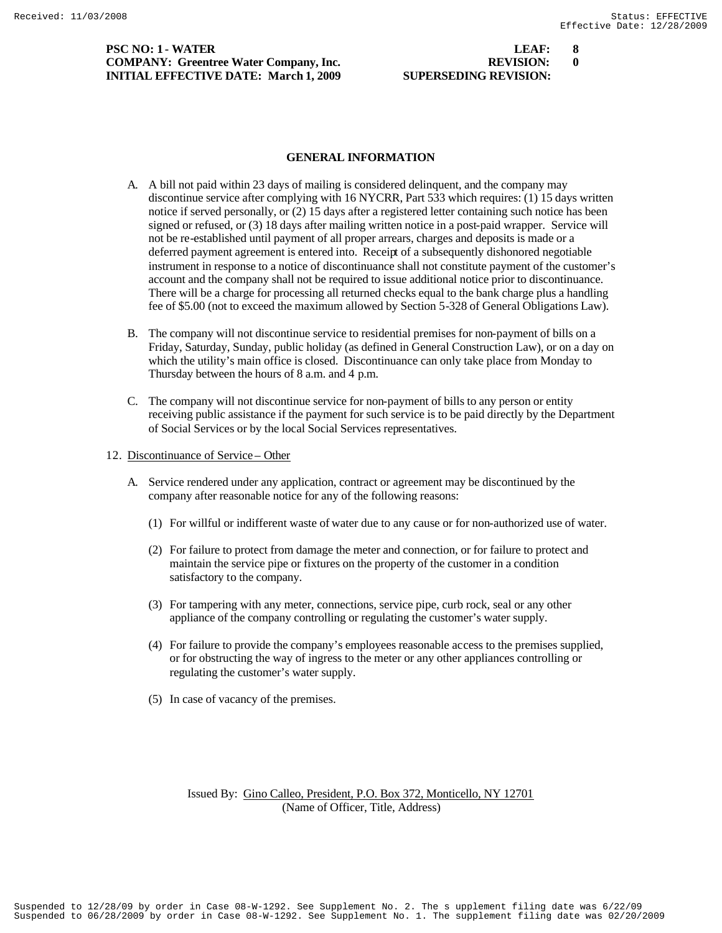**PSC NO: 1 - WATER COMPANY: Greentree Water Company, Inc. INITIAL EFFECTIVE DATE: March 1, 2009** S

| LEAF:                | X |
|----------------------|---|
| <b>REVISION:</b>     | 0 |
| UPERSEDING REVISION: |   |

#### **GENERAL INFORMATION**

- A. A bill not paid within 23 days of mailing is considered delinquent, and the company may discontinue service after complying with 16 NYCRR, Part 533 which requires: (1) 15 days written notice if served personally, or (2) 15 days after a registered letter containing such notice has been signed or refused, or (3) 18 days after mailing written notice in a post-paid wrapper. Service will not be re-established until payment of all proper arrears, charges and deposits is made or a deferred payment agreement is entered into. Receipt of a subsequently dishonored negotiable instrument in response to a notice of discontinuance shall not constitute payment of the customer's account and the company shall not be required to issue additional notice prior to discontinuance. There will be a charge for processing all returned checks equal to the bank charge plus a handling fee of \$5.00 (not to exceed the maximum allowed by Section 5-328 of General Obligations Law).
- B. The company will not discontinue service to residential premises for non-payment of bills on a Friday, Saturday, Sunday, public holiday (as defined in General Construction Law), or on a day on which the utility's main office is closed. Discontinuance can only take place from Monday to Thursday between the hours of 8 a.m. and 4 p.m.
- C. The company will not discontinue service for non-payment of bills to any person or entity receiving public assistance if the payment for such service is to be paid directly by the Department of Social Services or by the local Social Services representatives.
- 12. Discontinuance of Service Other
	- A. Service rendered under any application, contract or agreement may be discontinued by the company after reasonable notice for any of the following reasons:
		- (1) For willful or indifferent waste of water due to any cause or for non-authorized use of water.
		- (2) For failure to protect from damage the meter and connection, or for failure to protect and maintain the service pipe or fixtures on the property of the customer in a condition satisfactory to the company.
		- (3) For tampering with any meter, connections, service pipe, curb rock, seal or any other appliance of the company controlling or regulating the customer's water supply.
		- (4) For failure to provide the company's employees reasonable access to the premises supplied, or for obstructing the way of ingress to the meter or any other appliances controlling or regulating the customer's water supply.
		- (5) In case of vacancy of the premises.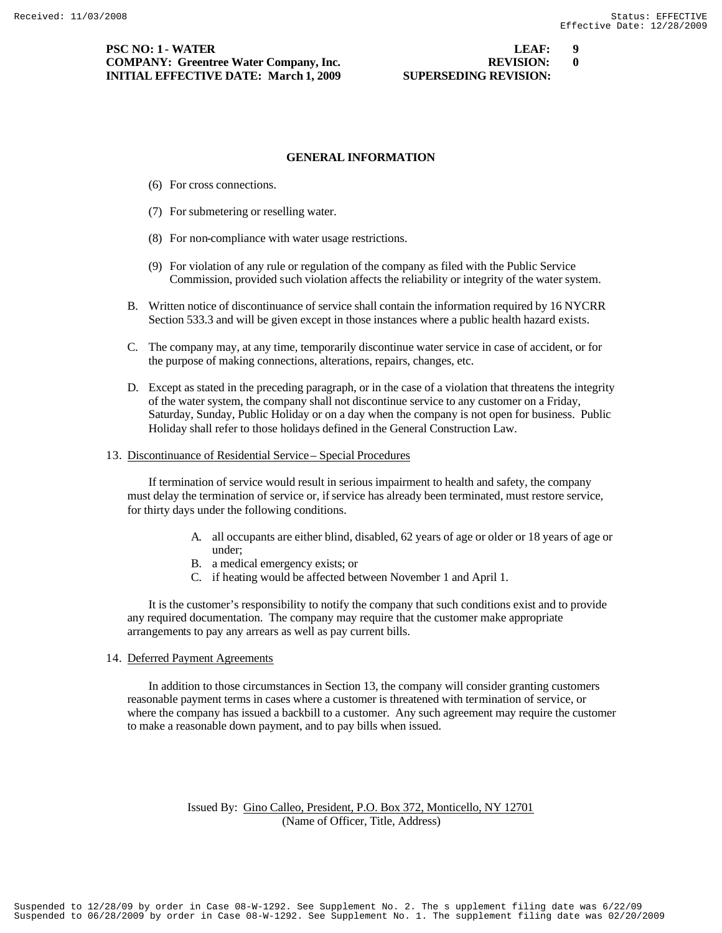**PSC NO: 1 - WATER LEAF: 9 COMPANY: Greentree Water Company, Inc. REVISION: 0 INITIAL EFFECTIVE DATE: March 1, 2009 SUPERSEDING REVISION:** 

# **GENERAL INFORMATION**

- (6) For cross connections.
- (7) For submetering or reselling water.
- (8) For non-compliance with water usage restrictions.
- (9) For violation of any rule or regulation of the company as filed with the Public Service Commission, provided such violation affects the reliability or integrity of the water system.
- B. Written notice of discontinuance of service shall contain the information required by 16 NYCRR Section 533.3 and will be given except in those instances where a public health hazard exists.
- C. The company may, at any time, temporarily discontinue water service in case of accident, or for the purpose of making connections, alterations, repairs, changes, etc.
- D. Except as stated in the preceding paragraph, or in the case of a violation that threatens the integrity of the water system, the company shall not discontinue service to any customer on a Friday, Saturday, Sunday, Public Holiday or on a day when the company is not open for business. Public Holiday shall refer to those holidays defined in the General Construction Law.
- 13. Discontinuance of Residential Service Special Procedures

 If termination of service would result in serious impairment to health and safety, the company must delay the termination of service or, if service has already been terminated, must restore service, for thirty days under the following conditions.

- A. all occupants are either blind, disabled, 62 years of age or older or 18 years of age or under;
- B. a medical emergency exists; or
- C. if heating would be affected between November 1 and April 1.

 It is the customer's responsibility to notify the company that such conditions exist and to provide any required documentation. The company may require that the customer make appropriate arrangements to pay any arrears as well as pay current bills.

#### 14. Deferred Payment Agreements

 In addition to those circumstances in Section 13, the company will consider granting customers reasonable payment terms in cases where a customer is threatened with termination of service, or where the company has issued a backbill to a customer. Any such agreement may require the customer to make a reasonable down payment, and to pay bills when issued.

# Issued By: Gino Calleo, President, P.O. Box 372, Monticello, NY 12701 (Name of Officer, Title, Address)

Suspended to 06/28/2009 by order in Case 08-W-1292. See Supplement No. 1. The supplement filing date was 02/20/2009 Suspended to 12/28/09 by order in Case 08-W-1292. See Supplement No. 2. The s upplement filing date was 6/22/09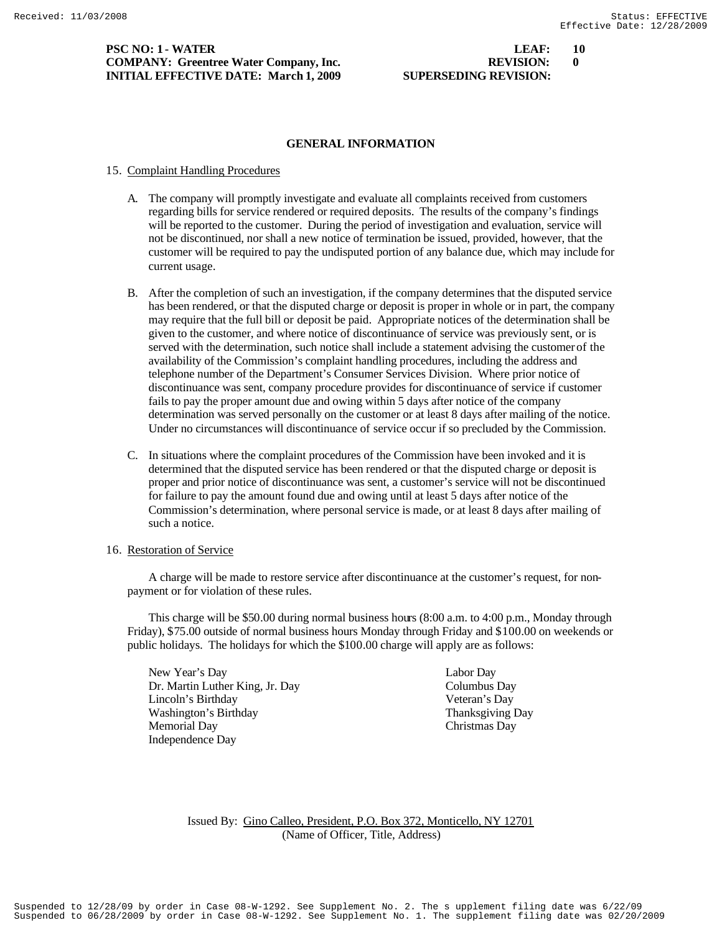**PSC NO: 1 - WATER LEAF: 10 COMPANY: Greentree Water Company, Inc. REVISION: 0 INITIAL EFFECTIVE DATE: March 1, 2009 SUPERSEDING REVISION:** 

# **GENERAL INFORMATION**

# 15. Complaint Handling Procedures

- A. The company will promptly investigate and evaluate all complaints received from customers regarding bills for service rendered or required deposits. The results of the company's findings will be reported to the customer. During the period of investigation and evaluation, service will not be discontinued, nor shall a new notice of termination be issued, provided, however, that the customer will be required to pay the undisputed portion of any balance due, which may include for current usage.
- B. After the completion of such an investigation, if the company determines that the disputed service has been rendered, or that the disputed charge or deposit is proper in whole or in part, the company may require that the full bill or deposit be paid. Appropriate notices of the determination shall be given to the customer, and where notice of discontinuance of service was previously sent, or is served with the determination, such notice shall include a statement advising the customer of the availability of the Commission's complaint handling procedures, including the address and telephone number of the Department's Consumer Services Division. Where prior notice of discontinuance was sent, company procedure provides for discontinuance of service if customer fails to pay the proper amount due and owing within 5 days after notice of the company determination was served personally on the customer or at least 8 days after mailing of the notice. Under no circumstances will discontinuance of service occur if so precluded by the Commission.
- C. In situations where the complaint procedures of the Commission have been invoked and it is determined that the disputed service has been rendered or that the disputed charge or deposit is proper and prior notice of discontinuance was sent, a customer's service will not be discontinued for failure to pay the amount found due and owing until at least 5 days after notice of the Commission's determination, where personal service is made, or at least 8 days after mailing of such a notice.

# 16. Restoration of Service

 A charge will be made to restore service after discontinuance at the customer's request, for nonpayment or for violation of these rules.

 This charge will be \$50.00 during normal business hours (8:00 a.m. to 4:00 p.m., Monday through Friday), \$75.00 outside of normal business hours Monday through Friday and \$100.00 on weekends or public holidays. The holidays for which the \$100.00 charge will apply are as follows:

New Year's Day Labor Day Dr. Martin Luther King, Jr. Day Columbus Day Lincoln's Birthday Veteran's Day Washington's Birthday Thanksgiving Day Memorial Day Christmas Day Independence Day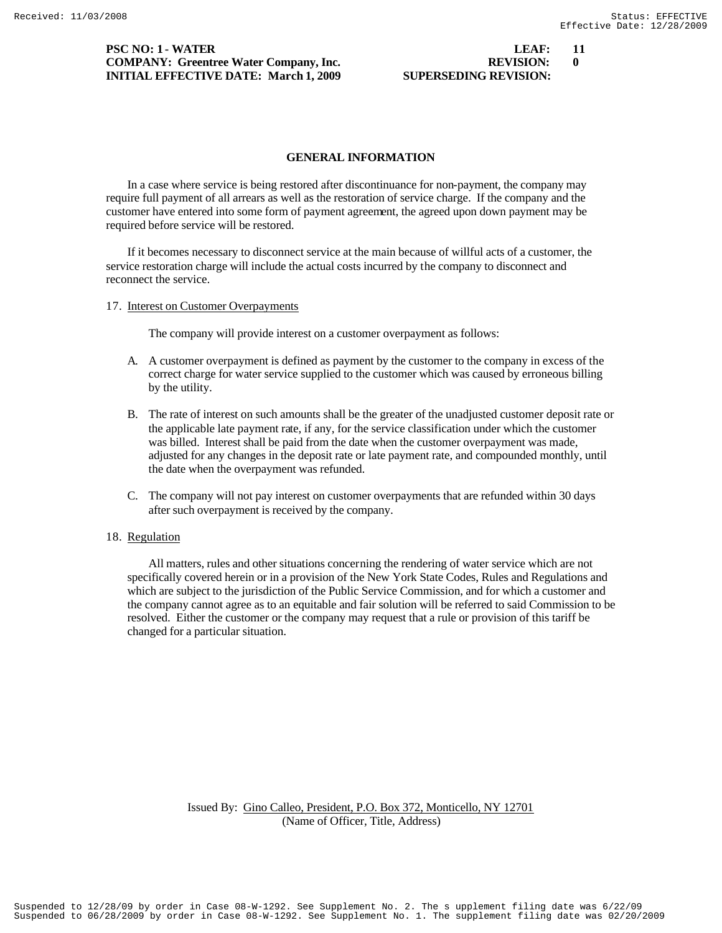# **PSC NO: 1 - WATER LEAF:** 11 **COMPANY: Greentree Water Company, Inc. REVISION: 0 INITIAL EFFECTIVE DATE: March 1, 2009 SUPERSEDING REVIEWS**

| LEAF:                |  |
|----------------------|--|
| <b>REVISION:</b>     |  |
| UPERSEDING REVISION: |  |

## **GENERAL INFORMATION**

In a case where service is being restored after discontinuance for non-payment, the company may require full payment of all arrears as well as the restoration of service charge. If the company and the customer have entered into some form of payment agreement, the agreed upon down payment may be required before service will be restored.

If it becomes necessary to disconnect service at the main because of willful acts of a customer, the service restoration charge will include the actual costs incurred by the company to disconnect and reconnect the service.

## 17. Interest on Customer Overpayments

The company will provide interest on a customer overpayment as follows:

- A. A customer overpayment is defined as payment by the customer to the company in excess of the correct charge for water service supplied to the customer which was caused by erroneous billing by the utility.
- B. The rate of interest on such amounts shall be the greater of the unadjusted customer deposit rate or the applicable late payment rate, if any, for the service classification under which the customer was billed. Interest shall be paid from the date when the customer overpayment was made, adjusted for any changes in the deposit rate or late payment rate, and compounded monthly, until the date when the overpayment was refunded.
- C. The company will not pay interest on customer overpayments that are refunded within 30 days after such overpayment is received by the company.

## 18. Regulation

 All matters, rules and other situations concerning the rendering of water service which are not specifically covered herein or in a provision of the New York State Codes, Rules and Regulations and which are subject to the jurisdiction of the Public Service Commission, and for which a customer and the company cannot agree as to an equitable and fair solution will be referred to said Commission to be resolved. Either the customer or the company may request that a rule or provision of this tariff be changed for a particular situation.